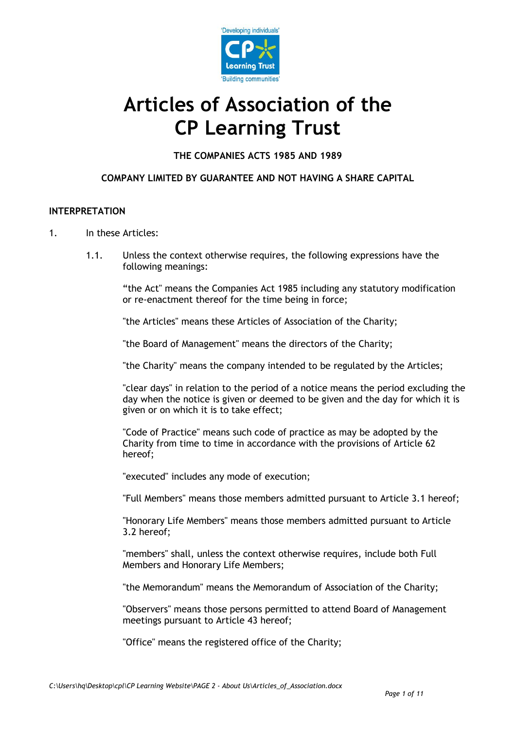

# **Articles of Association of the CP Learning Trust**

**THE COMPANIES ACTS 1985 AND 1989**

# **COMPANY LIMITED BY GUARANTEE AND NOT HAVING A SHARE CAPITAL**

## **INTERPRETATION**

- 1. In these Articles:
	- 1.1. Unless the context otherwise requires, the following expressions have the following meanings:

"the Act" means the Companies Act 1985 including any statutory modification or re-enactment thereof for the time being in force;

"the Articles" means these Articles of Association of the Charity;

"the Board of Management" means the directors of the Charity;

"the Charity" means the company intended to be regulated by the Articles;

"clear days" in relation to the period of a notice means the period excluding the day when the notice is given or deemed to be given and the day for which it is given or on which it is to take effect;

"Code of Practice" means such code of practice as may be adopted by the Charity from time to time in accordance with the provisions of Article 62 hereof;

"executed" includes any mode of execution;

"Full Members" means those members admitted pursuant to Article 3.1 hereof;

"Honorary Life Members" means those members admitted pursuant to Article 3.2 hereof;

"members" shall, unless the context otherwise requires, include both Full Members and Honorary Life Members;

"the Memorandum" means the Memorandum of Association of the Charity;

"Observers" means those persons permitted to attend Board of Management meetings pursuant to Article 43 hereof;

"Office" means the registered office of the Charity;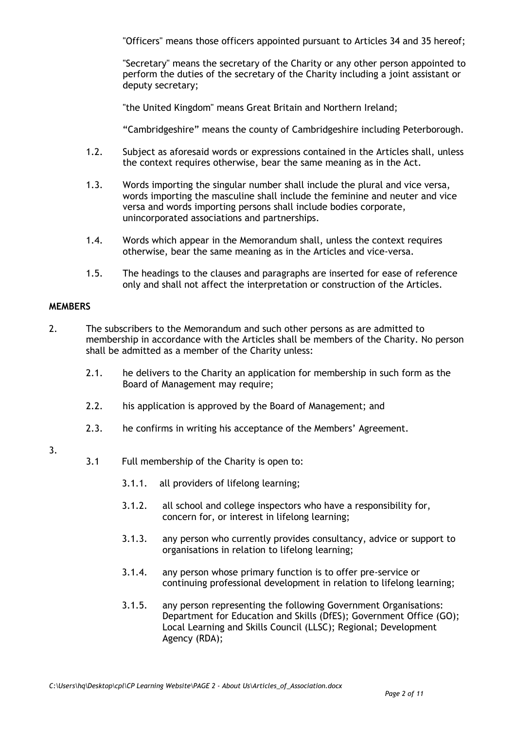"Officers" means those officers appointed pursuant to Articles 34 and 35 hereof;

"Secretary" means the secretary of the Charity or any other person appointed to perform the duties of the secretary of the Charity including a joint assistant or deputy secretary;

"the United Kingdom" means Great Britain and Northern Ireland;

"Cambridgeshire" means the county of Cambridgeshire including Peterborough.

- 1.2. Subject as aforesaid words or expressions contained in the Articles shall, unless the context requires otherwise, bear the same meaning as in the Act.
- 1.3. Words importing the singular number shall include the plural and vice versa, words importing the masculine shall include the feminine and neuter and vice versa and words importing persons shall include bodies corporate, unincorporated associations and partnerships.
- 1.4. Words which appear in the Memorandum shall, unless the context requires otherwise, bear the same meaning as in the Articles and vice-versa.
- 1.5. The headings to the clauses and paragraphs are inserted for ease of reference only and shall not affect the interpretation or construction of the Articles.

## **MEMBERS**

- 2. The subscribers to the Memorandum and such other persons as are admitted to membership in accordance with the Articles shall be members of the Charity. No person shall be admitted as a member of the Charity unless:
	- 2.1. he delivers to the Charity an application for membership in such form as the Board of Management may require;
	- 2.2. his application is approved by the Board of Management; and
	- 2.3. he confirms in writing his acceptance of the Members' Agreement.

# 3.

- 3.1 Full membership of the Charity is open to:
	- 3.1.1. all providers of lifelong learning;
	- 3.1.2. all school and college inspectors who have a responsibility for, concern for, or interest in lifelong learning;
	- 3.1.3. any person who currently provides consultancy, advice or support to organisations in relation to lifelong learning;
	- 3.1.4. any person whose primary function is to offer pre-service or continuing professional development in relation to lifelong learning;
	- 3.1.5. any person representing the following Government Organisations: Department for Education and Skills (DfES); Government Office (GO); Local Learning and Skills Council (LLSC); Regional; Development Agency (RDA);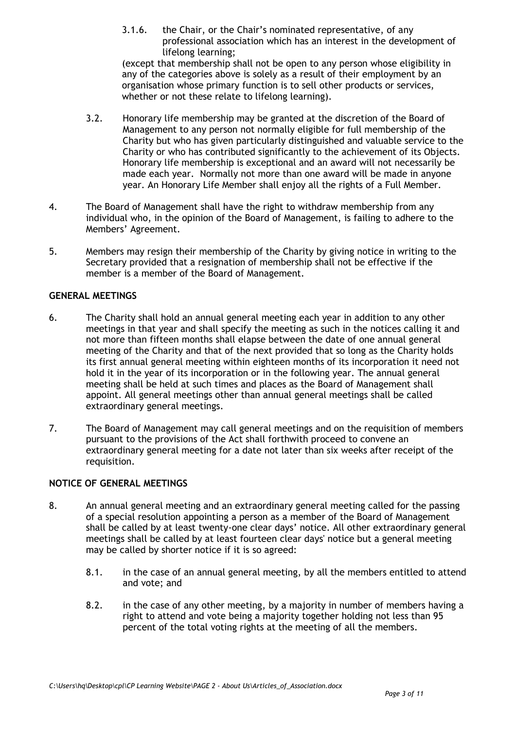3.1.6. the Chair, or the Chair's nominated representative, of any professional association which has an interest in the development of lifelong learning;

(except that membership shall not be open to any person whose eligibility in any of the categories above is solely as a result of their employment by an organisation whose primary function is to sell other products or services, whether or not these relate to lifelong learning).

- 3.2. Honorary life membership may be granted at the discretion of the Board of Management to any person not normally eligible for full membership of the Charity but who has given particularly distinguished and valuable service to the Charity or who has contributed significantly to the achievement of its Objects. Honorary life membership is exceptional and an award will not necessarily be made each year. Normally not more than one award will be made in anyone year. An Honorary Life Member shall enjoy all the rights of a Full Member.
- 4. The Board of Management shall have the right to withdraw membership from any individual who, in the opinion of the Board of Management, is failing to adhere to the Members' Agreement.
- 5. Members may resign their membership of the Charity by giving notice in writing to the Secretary provided that a resignation of membership shall not be effective if the member is a member of the Board of Management.

# **GENERAL MEETINGS**

- 6. The Charity shall hold an annual general meeting each year in addition to any other meetings in that year and shall specify the meeting as such in the notices calling it and not more than fifteen months shall elapse between the date of one annual general meeting of the Charity and that of the next provided that so long as the Charity holds its first annual general meeting within eighteen months of its incorporation it need not hold it in the year of its incorporation or in the following year. The annual general meeting shall be held at such times and places as the Board of Management shall appoint. All general meetings other than annual general meetings shall be called extraordinary general meetings.
- 7. The Board of Management may call general meetings and on the requisition of members pursuant to the provisions of the Act shall forthwith proceed to convene an extraordinary general meeting for a date not later than six weeks after receipt of the requisition.

## **NOTICE OF GENERAL MEETINGS**

- 8. An annual general meeting and an extraordinary general meeting called for the passing of a special resolution appointing a person as a member of the Board of Management shall be called by at least twenty-one clear days' notice. All other extraordinary general meetings shall be called by at least fourteen clear days' notice but a general meeting may be called by shorter notice if it is so agreed:
	- 8.1. in the case of an annual general meeting, by all the members entitled to attend and vote; and
	- 8.2. in the case of any other meeting, by a majority in number of members having a right to attend and vote being a majority together holding not less than 95 percent of the total voting rights at the meeting of all the members.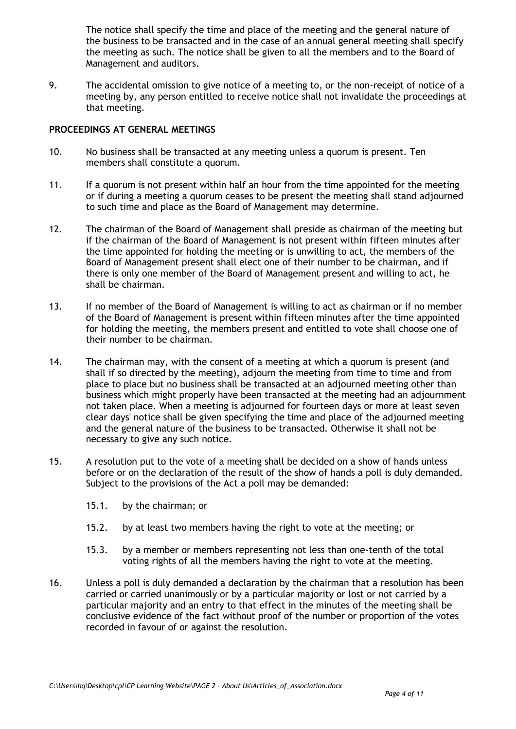The notice shall specify the time and place of the meeting and the general nature of the business to be transacted and in the case of an annual general meeting shall specify the meeting as such. The notice shall be given to all the members and to the Board of Management and auditors.

9. The accidental omission to give notice of a meeting to, or the non-receipt of notice of a meeting by, any person entitled to receive notice shall not invalidate the proceedings at that meeting.

## **PROCEEDINGS AT GENERAL MEETINGS**

- 10. No business shall be transacted at any meeting unless a quorum is present. Ten members shall constitute a quorum.
- 11. If a quorum is not present within half an hour from the time appointed for the meeting or if during a meeting a quorum ceases to be present the meeting shall stand adjourned to such time and place as the Board of Management may determine.
- 12. The chairman of the Board of Management shall preside as chairman of the meeting but if the chairman of the Board of Management is not present within fifteen minutes after the time appointed for holding the meeting or is unwilling to act, the members of the Board of Management present shall elect one of their number to be chairman, and if there is only one member of the Board of Management present and willing to act, he shall be chairman.
- 13. If no member of the Board of Management is willing to act as chairman or if no member of the Board of Management is present within fifteen minutes after the time appointed for holding the meeting, the members present and entitled to vote shall choose one of their number to be chairman.
- 14. The chairman may, with the consent of a meeting at which a quorum is present (and shall if so directed by the meeting), adjourn the meeting from time to time and from place to place but no business shall be transacted at an adjourned meeting other than business which might properly have been transacted at the meeting had an adjournment not taken place. When a meeting is adjourned for fourteen days or more at least seven clear days' notice shall be given specifying the time and place of the adjourned meeting and the general nature of the business to be transacted. Otherwise it shall not be necessary to give any such notice.
- 15. A resolution put to the vote of a meeting shall be decided on a show of hands unless before or on the declaration of the result of the show of hands a poll is duly demanded. Subject to the provisions of the Act a poll may be demanded:
	- 15.1. by the chairman; or
	- 15.2. by at least two members having the right to vote at the meeting; or
	- 15.3. by a member or members representing not less than one-tenth of the total voting rights of all the members having the right to vote at the meeting.
- 16. Unless a poll is duly demanded a declaration by the chairman that a resolution has been carried or carried unanimously or by a particular majority or lost or not carried by a particular majority and an entry to that effect in the minutes of the meeting shall be conclusive evidence of the fact without proof of the number or proportion of the votes recorded in favour of or against the resolution.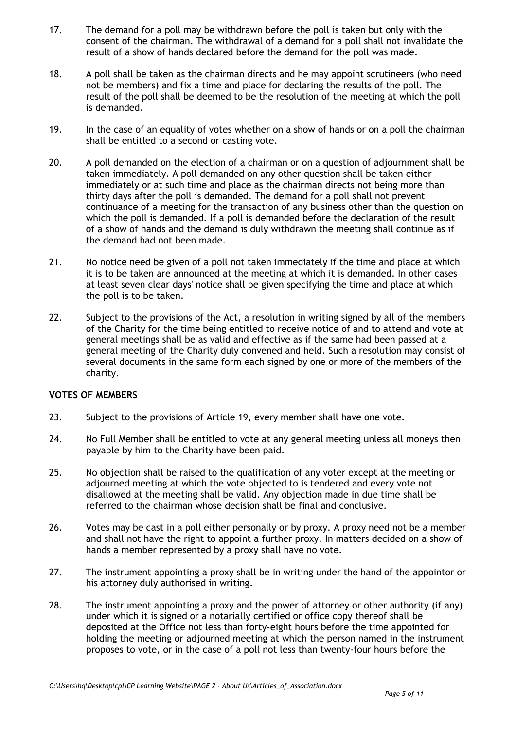- 17. The demand for a poll may be withdrawn before the poll is taken but only with the consent of the chairman. The withdrawal of a demand for a poll shall not invalidate the result of a show of hands declared before the demand for the poll was made.
- 18. A poll shall be taken as the chairman directs and he may appoint scrutineers (who need not be members) and fix a time and place for declaring the results of the poll. The result of the poll shall be deemed to be the resolution of the meeting at which the poll is demanded.
- 19. In the case of an equality of votes whether on a show of hands or on a poll the chairman shall be entitled to a second or casting vote.
- 20. A poll demanded on the election of a chairman or on a question of adjournment shall be taken immediately. A poll demanded on any other question shall be taken either immediately or at such time and place as the chairman directs not being more than thirty days after the poll is demanded. The demand for a poll shall not prevent continuance of a meeting for the transaction of any business other than the question on which the poll is demanded. If a poll is demanded before the declaration of the result of a show of hands and the demand is duly withdrawn the meeting shall continue as if the demand had not been made.
- 21. No notice need be given of a poll not taken immediately if the time and place at which it is to be taken are announced at the meeting at which it is demanded. In other cases at least seven clear days' notice shall be given specifying the time and place at which the poll is to be taken.
- 22. Subject to the provisions of the Act, a resolution in writing signed by all of the members of the Charity for the time being entitled to receive notice of and to attend and vote at general meetings shall be as valid and effective as if the same had been passed at a general meeting of the Charity duly convened and held. Such a resolution may consist of several documents in the same form each signed by one or more of the members of the charity.

## **VOTES OF MEMBERS**

- 23. Subject to the provisions of Article 19, every member shall have one vote.
- 24. No Full Member shall be entitled to vote at any general meeting unless all moneys then payable by him to the Charity have been paid.
- 25. No objection shall be raised to the qualification of any voter except at the meeting or adjourned meeting at which the vote objected to is tendered and every vote not disallowed at the meeting shall be valid. Any objection made in due time shall be referred to the chairman whose decision shall be final and conclusive.
- 26. Votes may be cast in a poll either personally or by proxy. A proxy need not be a member and shall not have the right to appoint a further proxy. In matters decided on a show of hands a member represented by a proxy shall have no vote.
- 27. The instrument appointing a proxy shall be in writing under the hand of the appointor or his attorney duly authorised in writing.
- 28. The instrument appointing a proxy and the power of attorney or other authority (if any) under which it is signed or a notarially certified or office copy thereof shall be deposited at the Office not less than forty-eight hours before the time appointed for holding the meeting or adjourned meeting at which the person named in the instrument proposes to vote, or in the case of a poll not less than twenty-four hours before the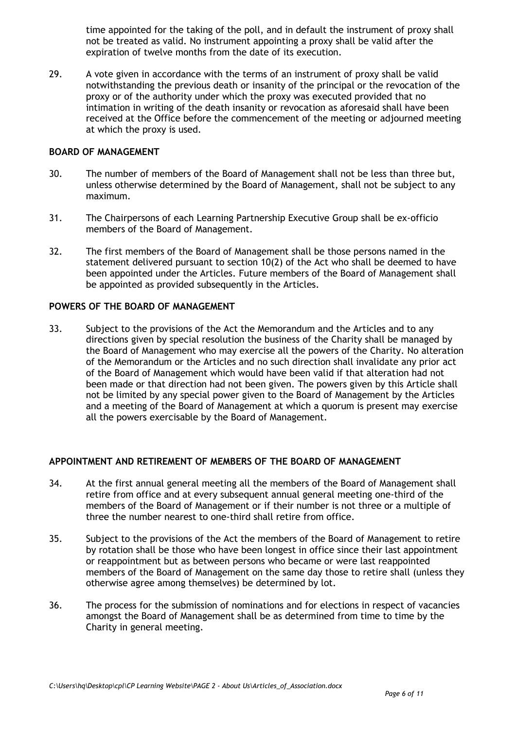time appointed for the taking of the poll, and in default the instrument of proxy shall not be treated as valid. No instrument appointing a proxy shall be valid after the expiration of twelve months from the date of its execution.

29. A vote given in accordance with the terms of an instrument of proxy shall be valid notwithstanding the previous death or insanity of the principal or the revocation of the proxy or of the authority under which the proxy was executed provided that no intimation in writing of the death insanity or revocation as aforesaid shall have been received at the Office before the commencement of the meeting or adjourned meeting at which the proxy is used.

#### **BOARD OF MANAGEMENT**

- 30. The number of members of the Board of Management shall not be less than three but, unless otherwise determined by the Board of Management, shall not be subject to any maximum.
- 31. The Chairpersons of each Learning Partnership Executive Group shall be ex-officio members of the Board of Management.
- 32. The first members of the Board of Management shall be those persons named in the statement delivered pursuant to section 10(2) of the Act who shall be deemed to have been appointed under the Articles. Future members of the Board of Management shall be appointed as provided subsequently in the Articles.

#### **POWERS OF THE BOARD OF MANAGEMENT**

33. Subject to the provisions of the Act the Memorandum and the Articles and to any directions given by special resolution the business of the Charity shall be managed by the Board of Management who may exercise all the powers of the Charity. No alteration of the Memorandum or the Articles and no such direction shall invalidate any prior act of the Board of Management which would have been valid if that alteration had not been made or that direction had not been given. The powers given by this Article shall not be limited by any special power given to the Board of Management by the Articles and a meeting of the Board of Management at which a quorum is present may exercise all the powers exercisable by the Board of Management.

## **APPOINTMENT AND RETIREMENT OF MEMBERS OF THE BOARD OF MANAGEMENT**

- 34. At the first annual general meeting all the members of the Board of Management shall retire from office and at every subsequent annual general meeting one-third of the members of the Board of Management or if their number is not three or a multiple of three the number nearest to one-third shall retire from office.
- 35. Subject to the provisions of the Act the members of the Board of Management to retire by rotation shall be those who have been longest in office since their last appointment or reappointment but as between persons who became or were last reappointed members of the Board of Management on the same day those to retire shall (unless they otherwise agree among themselves) be determined by lot.
- 36. The process for the submission of nominations and for elections in respect of vacancies amongst the Board of Management shall be as determined from time to time by the Charity in general meeting.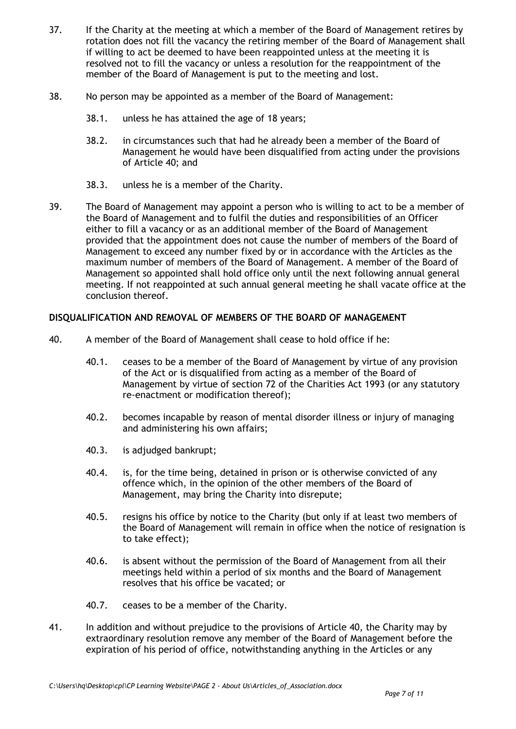- 37. If the Charity at the meeting at which a member of the Board of Management retires by rotation does not fill the vacancy the retiring member of the Board of Management shall if willing to act be deemed to have been reappointed unless at the meeting it is resolved not to fill the vacancy or unless a resolution for the reappointment of the member of the Board of Management is put to the meeting and lost.
- 38. No person may be appointed as a member of the Board of Management:
	- 38.1. unless he has attained the age of 18 years;
	- 38.2. in circumstances such that had he already been a member of the Board of Management he would have been disqualified from acting under the provisions of Article 40; and
	- 38.3. unless he is a member of the Charity.
- 39. The Board of Management may appoint a person who is willing to act to be a member of the Board of Management and to fulfil the duties and responsibilities of an Officer either to fill a vacancy or as an additional member of the Board of Management provided that the appointment does not cause the number of members of the Board of Management to exceed any number fixed by or in accordance with the Articles as the maximum number of members of the Board of Management. A member of the Board of Management so appointed shall hold office only until the next following annual general meeting. If not reappointed at such annual general meeting he shall vacate office at the conclusion thereof.

## **DISQUALIFICATION AND REMOVAL OF MEMBERS OF THE BOARD OF MANAGEMENT**

- 40. A member of the Board of Management shall cease to hold office if he:
	- 40.1. ceases to be a member of the Board of Management by virtue of any provision of the Act or is disqualified from acting as a member of the Board of Management by virtue of section 72 of the Charities Act 1993 (or any statutory re-enactment or modification thereof);
	- 40.2. becomes incapable by reason of mental disorder illness or injury of managing and administering his own affairs;
	- 40.3. is adjudged bankrupt;
	- 40.4. is, for the time being, detained in prison or is otherwise convicted of any offence which, in the opinion of the other members of the Board of Management, may bring the Charity into disrepute;
	- 40.5. resigns his office by notice to the Charity (but only if at least two members of the Board of Management will remain in office when the notice of resignation is to take effect);
	- 40.6. is absent without the permission of the Board of Management from all their meetings held within a period of six months and the Board of Management resolves that his office be vacated; or
	- 40.7. ceases to be a member of the Charity.
- 41. In addition and without prejudice to the provisions of Article 40, the Charity may by extraordinary resolution remove any member of the Board of Management before the expiration of his period of office, notwithstanding anything in the Articles or any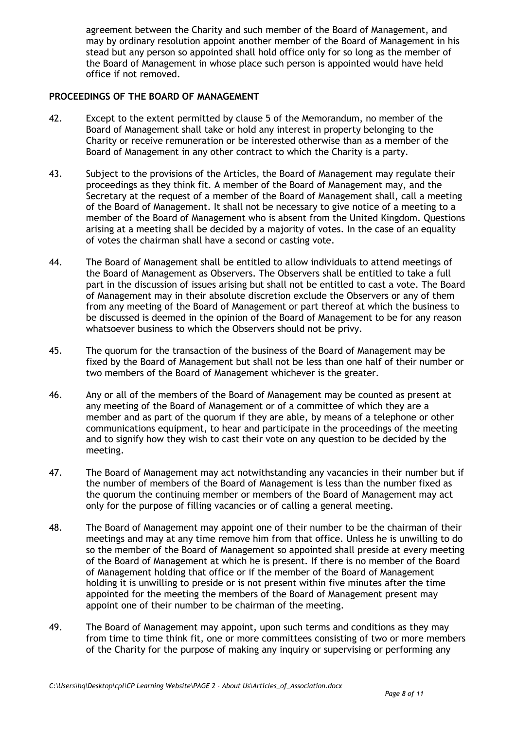agreement between the Charity and such member of the Board of Management, and may by ordinary resolution appoint another member of the Board of Management in his stead but any person so appointed shall hold office only for so long as the member of the Board of Management in whose place such person is appointed would have held office if not removed.

### **PROCEEDINGS OF THE BOARD OF MANAGEMENT**

- 42. Except to the extent permitted by clause 5 of the Memorandum, no member of the Board of Management shall take or hold any interest in property belonging to the Charity or receive remuneration or be interested otherwise than as a member of the Board of Management in any other contract to which the Charity is a party.
- 43. Subject to the provisions of the Articles, the Board of Management may regulate their proceedings as they think fit. A member of the Board of Management may, and the Secretary at the request of a member of the Board of Management shall, call a meeting of the Board of Management. It shall not be necessary to give notice of a meeting to a member of the Board of Management who is absent from the United Kingdom. Questions arising at a meeting shall be decided by a majority of votes. In the case of an equality of votes the chairman shall have a second or casting vote.
- 44. The Board of Management shall be entitled to allow individuals to attend meetings of the Board of Management as Observers. The Observers shall be entitled to take a full part in the discussion of issues arising but shall not be entitled to cast a vote. The Board of Management may in their absolute discretion exclude the Observers or any of them from any meeting of the Board of Management or part thereof at which the business to be discussed is deemed in the opinion of the Board of Management to be for any reason whatsoever business to which the Observers should not be privy.
- 45. The quorum for the transaction of the business of the Board of Management may be fixed by the Board of Management but shall not be less than one half of their number or two members of the Board of Management whichever is the greater.
- 46. Any or all of the members of the Board of Management may be counted as present at any meeting of the Board of Management or of a committee of which they are a member and as part of the quorum if they are able, by means of a telephone or other communications equipment, to hear and participate in the proceedings of the meeting and to signify how they wish to cast their vote on any question to be decided by the meeting.
- 47. The Board of Management may act notwithstanding any vacancies in their number but if the number of members of the Board of Management is less than the number fixed as the quorum the continuing member or members of the Board of Management may act only for the purpose of filling vacancies or of calling a general meeting.
- 48. The Board of Management may appoint one of their number to be the chairman of their meetings and may at any time remove him from that office. Unless he is unwilling to do so the member of the Board of Management so appointed shall preside at every meeting of the Board of Management at which he is present. If there is no member of the Board of Management holding that office or if the member of the Board of Management holding it is unwilling to preside or is not present within five minutes after the time appointed for the meeting the members of the Board of Management present may appoint one of their number to be chairman of the meeting.
- 49. The Board of Management may appoint, upon such terms and conditions as they may from time to time think fit, one or more committees consisting of two or more members of the Charity for the purpose of making any inquiry or supervising or performing any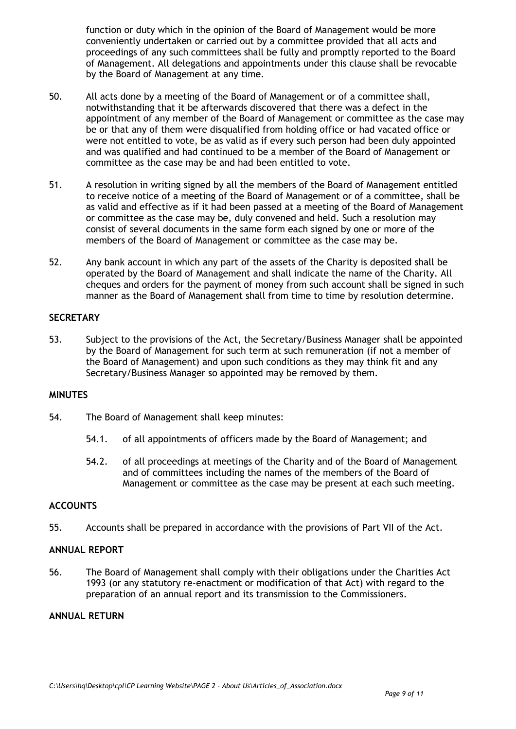function or duty which in the opinion of the Board of Management would be more conveniently undertaken or carried out by a committee provided that all acts and proceedings of any such committees shall be fully and promptly reported to the Board of Management. All delegations and appointments under this clause shall be revocable by the Board of Management at any time.

- 50. All acts done by a meeting of the Board of Management or of a committee shall, notwithstanding that it be afterwards discovered that there was a defect in the appointment of any member of the Board of Management or committee as the case may be or that any of them were disqualified from holding office or had vacated office or were not entitled to vote, be as valid as if every such person had been duly appointed and was qualified and had continued to be a member of the Board of Management or committee as the case may be and had been entitled to vote.
- 51. A resolution in writing signed by all the members of the Board of Management entitled to receive notice of a meeting of the Board of Management or of a committee, shall be as valid and effective as if it had been passed at a meeting of the Board of Management or committee as the case may be, duly convened and held. Such a resolution may consist of several documents in the same form each signed by one or more of the members of the Board of Management or committee as the case may be.
- 52. Any bank account in which any part of the assets of the Charity is deposited shall be operated by the Board of Management and shall indicate the name of the Charity. All cheques and orders for the payment of money from such account shall be signed in such manner as the Board of Management shall from time to time by resolution determine.

## **SECRETARY**

53. Subject to the provisions of the Act, the Secretary/Business Manager shall be appointed by the Board of Management for such term at such remuneration (if not a member of the Board of Management) and upon such conditions as they may think fit and any Secretary/Business Manager so appointed may be removed by them.

## **MINUTES**

- 54. The Board of Management shall keep minutes:
	- 54.1. of all appointments of officers made by the Board of Management; and
	- 54.2. of all proceedings at meetings of the Charity and of the Board of Management and of committees including the names of the members of the Board of Management or committee as the case may be present at each such meeting.

#### **ACCOUNTS**

55. Accounts shall be prepared in accordance with the provisions of Part VII of the Act.

#### **ANNUAL REPORT**

56. The Board of Management shall comply with their obligations under the Charities Act 1993 (or any statutory re-enactment or modification of that Act) with regard to the preparation of an annual report and its transmission to the Commissioners.

#### **ANNUAL RETURN**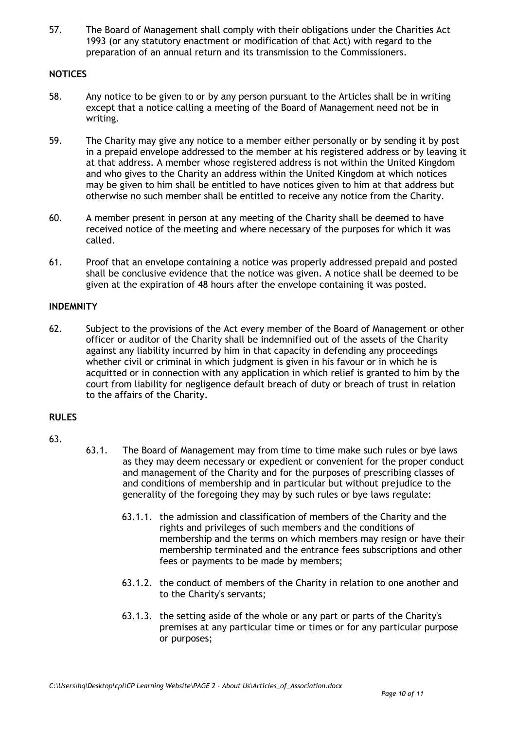57. The Board of Management shall comply with their obligations under the Charities Act 1993 (or any statutory enactment or modification of that Act) with regard to the preparation of an annual return and its transmission to the Commissioners.

# **NOTICES**

- 58. Any notice to be given to or by any person pursuant to the Articles shall be in writing except that a notice calling a meeting of the Board of Management need not be in writing.
- 59. The Charity may give any notice to a member either personally or by sending it by post in a prepaid envelope addressed to the member at his registered address or by leaving it at that address. A member whose registered address is not within the United Kingdom and who gives to the Charity an address within the United Kingdom at which notices may be given to him shall be entitled to have notices given to him at that address but otherwise no such member shall be entitled to receive any notice from the Charity.
- 60. A member present in person at any meeting of the Charity shall be deemed to have received notice of the meeting and where necessary of the purposes for which it was called.
- 61. Proof that an envelope containing a notice was properly addressed prepaid and posted shall be conclusive evidence that the notice was given. A notice shall be deemed to be given at the expiration of 48 hours after the envelope containing it was posted.

## **INDEMNITY**

62. Subject to the provisions of the Act every member of the Board of Management or other officer or auditor of the Charity shall be indemnified out of the assets of the Charity against any liability incurred by him in that capacity in defending any proceedings whether civil or criminal in which judgment is given in his favour or in which he is acquitted or in connection with any application in which relief is granted to him by the court from liability for negligence default breach of duty or breach of trust in relation to the affairs of the Charity.

## **RULES**

# 63.

- 63.1. The Board of Management may from time to time make such rules or bye laws as they may deem necessary or expedient or convenient for the proper conduct and management of the Charity and for the purposes of prescribing classes of and conditions of membership and in particular but without prejudice to the generality of the foregoing they may by such rules or bye laws regulate:
	- 63.1.1. the admission and classification of members of the Charity and the rights and privileges of such members and the conditions of membership and the terms on which members may resign or have their membership terminated and the entrance fees subscriptions and other fees or payments to be made by members;
	- 63.1.2. the conduct of members of the Charity in relation to one another and to the Charity's servants;
	- 63.1.3. the setting aside of the whole or any part or parts of the Charity's premises at any particular time or times or for any particular purpose or purposes;